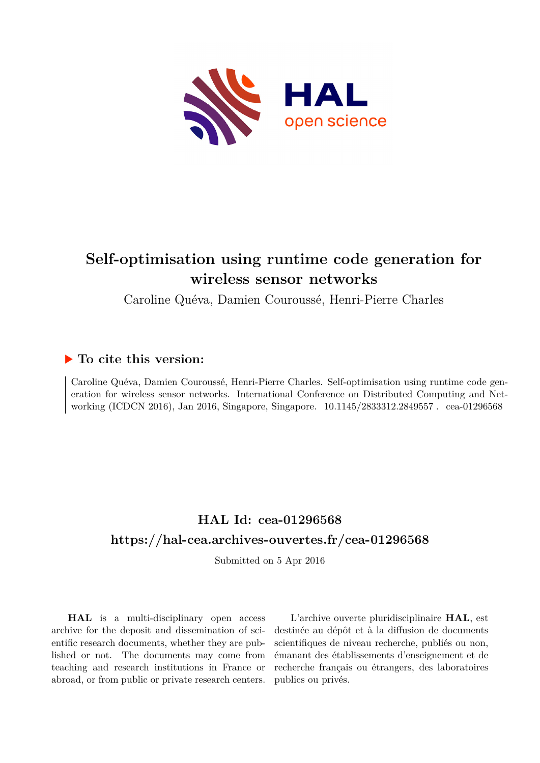

# **Self-optimisation using runtime code generation for wireless sensor networks**

Caroline Quéva, Damien Couroussé, Henri-Pierre Charles

## **To cite this version:**

Caroline Quéva, Damien Couroussé, Henri-Pierre Charles. Self-optimisation using runtime code generation for wireless sensor networks. International Conference on Distributed Computing and Networking (ICDCN 2016), Jan 2016, Singapore, Singapore. 10.1145/2833312.2849557. cea-01296568

## **HAL Id: cea-01296568 <https://hal-cea.archives-ouvertes.fr/cea-01296568>**

Submitted on 5 Apr 2016

**HAL** is a multi-disciplinary open access archive for the deposit and dissemination of scientific research documents, whether they are published or not. The documents may come from teaching and research institutions in France or abroad, or from public or private research centers.

L'archive ouverte pluridisciplinaire **HAL**, est destinée au dépôt et à la diffusion de documents scientifiques de niveau recherche, publiés ou non, émanant des établissements d'enseignement et de recherche français ou étrangers, des laboratoires publics ou privés.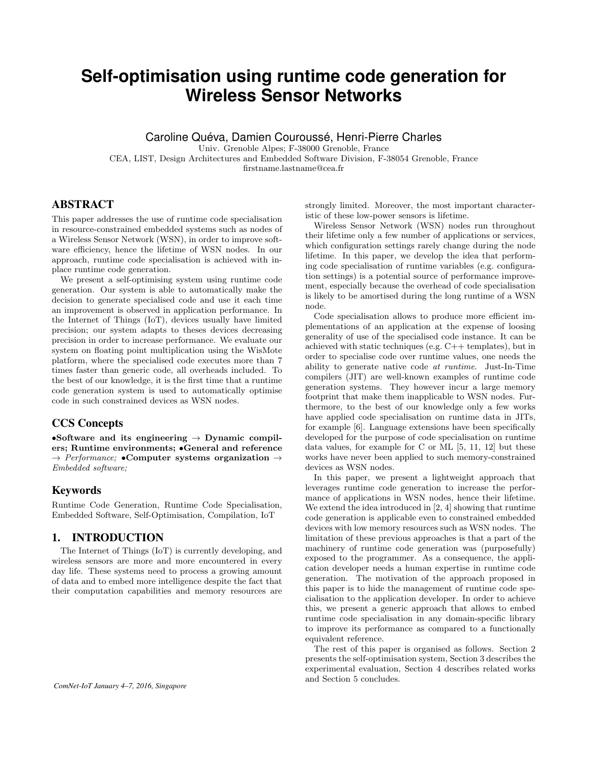## **Self-optimisation using runtime code generation for Wireless Sensor Networks**

Caroline Quéva, Damien Couroussé, Henri-Pierre Charles

Univ. Grenoble Alpes; F-38000 Grenoble, France CEA, LIST, Design Architectures and Embedded Software Division, F-38054 Grenoble, France firstname.lastname@cea.fr

## ABSTRACT

This paper addresses the use of runtime code specialisation in resource-constrained embedded systems such as nodes of a Wireless Sensor Network (WSN), in order to improve software efficiency, hence the lifetime of WSN nodes. In our approach, runtime code specialisation is achieved with inplace runtime code generation.

We present a self-optimising system using runtime code generation. Our system is able to automatically make the decision to generate specialised code and use it each time an improvement is observed in application performance. In the Internet of Things (IoT), devices usually have limited precision; our system adapts to theses devices decreasing precision in order to increase performance. We evaluate our system on floating point multiplication using the WisMote platform, where the specialised code executes more than 7 times faster than generic code, all overheads included. To the best of our knowledge, it is the first time that a runtime code generation system is used to automatically optimise code in such constrained devices as WSN nodes.

## CCS Concepts

•Software and its engineering  $\rightarrow$  Dynamic compilers; Runtime environments; •General and reference  $\rightarrow$  Performance; •Computer systems organization  $\rightarrow$ Embedded software;

## Keywords

Runtime Code Generation, Runtime Code Specialisation, Embedded Software, Self-Optimisation, Compilation, IoT

## 1. INTRODUCTION

The Internet of Things (IoT) is currently developing, and wireless sensors are more and more encountered in every day life. These systems need to process a growing amount of data and to embed more intelligence despite the fact that their computation capabilities and memory resources are strongly limited. Moreover, the most important characteristic of these low-power sensors is lifetime.

Wireless Sensor Network (WSN) nodes run throughout their lifetime only a few number of applications or services, which configuration settings rarely change during the node lifetime. In this paper, we develop the idea that performing code specialisation of runtime variables (e.g. configuration settings) is a potential source of performance improvement, especially because the overhead of code specialisation is likely to be amortised during the long runtime of a WSN node.

Code specialisation allows to produce more efficient implementations of an application at the expense of loosing generality of use of the specialised code instance. It can be achieved with static techniques (e.g. C++ templates), but in order to specialise code over runtime values, one needs the ability to generate native code at runtime. Just-In-Time compilers (JIT) are well-known examples of runtime code generation systems. They however incur a large memory footprint that make them inapplicable to WSN nodes. Furthermore, to the best of our knowledge only a few works have applied code specialisation on runtime data in JITs, for example [6]. Language extensions have been specifically developed for the purpose of code specialisation on runtime data values, for example for C or ML [5, 11, 12] but these works have never been applied to such memory-constrained devices as WSN nodes.

In this paper, we present a lightweight approach that leverages runtime code generation to increase the performance of applications in WSN nodes, hence their lifetime. We extend the idea introduced in [2, 4] showing that runtime code generation is applicable even to constrained embedded devices with low memory resources such as WSN nodes. The limitation of these previous approaches is that a part of the machinery of runtime code generation was (purposefully) exposed to the programmer. As a consequence, the application developer needs a human expertise in runtime code generation. The motivation of the approach proposed in this paper is to hide the management of runtime code specialisation to the application developer. In order to achieve this, we present a generic approach that allows to embed runtime code specialisation in any domain-specific library to improve its performance as compared to a functionally equivalent reference.

The rest of this paper is organised as follows. Section 2 presents the self-optimisation system, Section 3 describes the experimental evaluation, Section 4 describes related works and Section 5 concludes.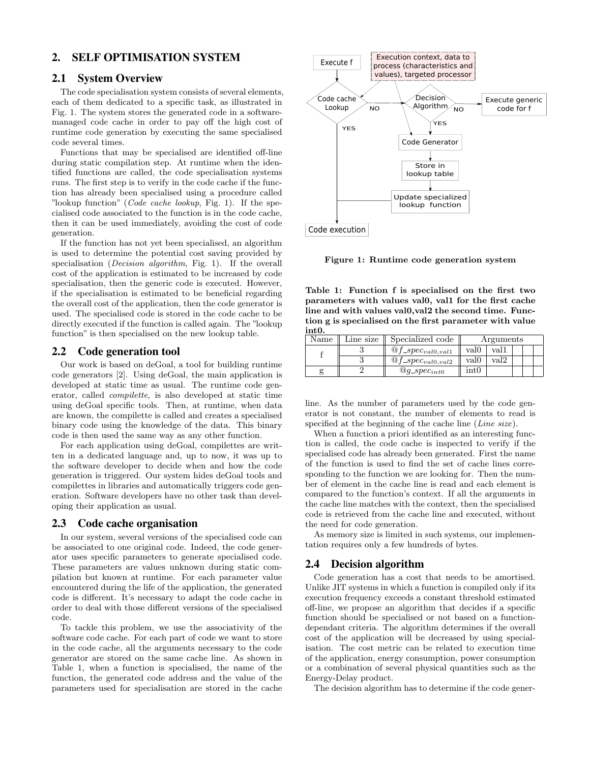### 2. SELF OPTIMISATION SYSTEM

#### 2.1 System Overview

The code specialisation system consists of several elements, each of them dedicated to a specific task, as illustrated in Fig. 1. The system stores the generated code in a softwaremanaged code cache in order to pay off the high cost of runtime code generation by executing the same specialised code several times.

Functions that may be specialised are identified off-line during static compilation step. At runtime when the identified functions are called, the code specialisation systems runs. The first step is to verify in the code cache if the function has already been specialised using a procedure called "lookup function" (Code cache lookup, Fig. 1). If the specialised code associated to the function is in the code cache, then it can be used immediately, avoiding the cost of code generation.

If the function has not yet been specialised, an algorithm is used to determine the potential cost saving provided by specialisation (*Decision algorithm*, Fig. 1). If the overall cost of the application is estimated to be increased by code specialisation, then the generic code is executed. However, if the specialisation is estimated to be beneficial regarding the overall cost of the application, then the code generator is used. The specialised code is stored in the code cache to be directly executed if the function is called again. The "lookup function" is then specialised on the new lookup table.

#### 2.2 Code generation tool

Our work is based on deGoal, a tool for building runtime code generators [2]. Using deGoal, the main application is developed at static time as usual. The runtime code generator, called compilette, is also developed at static time using deGoal specific tools. Then, at runtime, when data are known, the compilette is called and creates a specialised binary code using the knowledge of the data. This binary code is then used the same way as any other function.

For each application using deGoal, compilettes are written in a dedicated language and, up to now, it was up to the software developer to decide when and how the code generation is triggered. Our system hides deGoal tools and compilettes in libraries and automatically triggers code generation. Software developers have no other task than developing their application as usual.

#### 2.3 Code cache organisation

In our system, several versions of the specialised code can be associated to one original code. Indeed, the code generator uses specific parameters to generate specialised code. These parameters are values unknown during static compilation but known at runtime. For each parameter value encountered during the life of the application, the generated code is different. It's necessary to adapt the code cache in order to deal with those different versions of the specialised code.

To tackle this problem, we use the associativity of the software code cache. For each part of code we want to store in the code cache, all the arguments necessary to the code generator are stored on the same cache line. As shown in Table 1, when a function is specialised, the name of the function, the generated code address and the value of the parameters used for specialisation are stored in the cache



Figure 1: Runtime code generation system

Table 1: Function f is specialised on the first two parameters with values val0, val1 for the first cache line and with values val0,val2 the second time. Function g is specialised on the first parameter with value int0.

| Name | Line size | Specialized code       | Arguments |       |  |  |  |
|------|-----------|------------------------|-----------|-------|--|--|--|
|      |           | $@f\_spec_{val0,val1}$ | val0      | val l |  |  |  |
|      |           | $@f\_spec_{val0,val2}$ | val0      | val2  |  |  |  |
|      |           | $@q\_spec_{int0}$      | int0      |       |  |  |  |

line. As the number of parameters used by the code generator is not constant, the number of elements to read is specified at the beginning of the cache line (*Line size*).

When a function a priori identified as an interesting function is called, the code cache is inspected to verify if the specialised code has already been generated. First the name of the function is used to find the set of cache lines corresponding to the function we are looking for. Then the number of element in the cache line is read and each element is compared to the function's context. If all the arguments in the cache line matches with the context, then the specialised code is retrieved from the cache line and executed, without the need for code generation.

As memory size is limited in such systems, our implementation requires only a few hundreds of bytes.

#### 2.4 Decision algorithm

Code generation has a cost that needs to be amortised. Unlike JIT systems in which a function is compiled only if its execution frequency exceeds a constant threshold estimated off-line, we propose an algorithm that decides if a specific function should be specialised or not based on a functiondependant criteria. The algorithm determines if the overall cost of the application will be decreased by using specialisation. The cost metric can be related to execution time of the application, energy consumption, power consumption or a combination of several physical quantities such as the Energy-Delay product.

The decision algorithm has to determine if the code gener-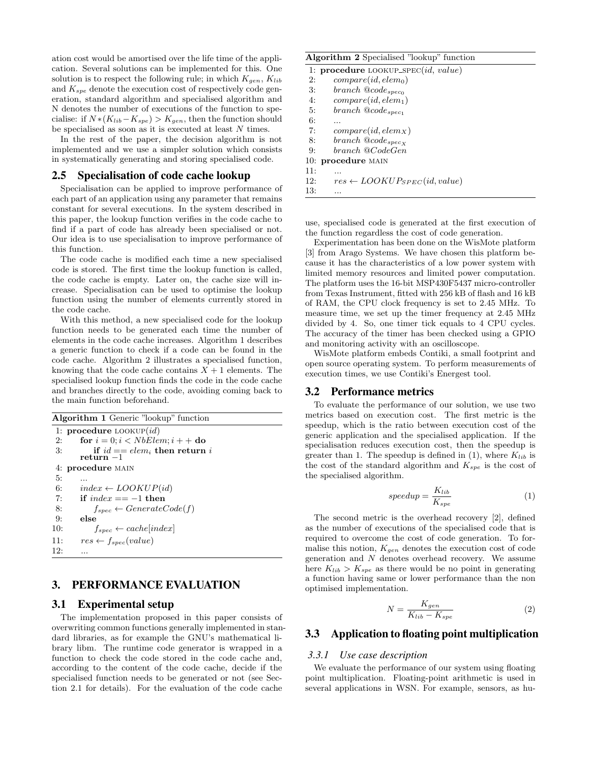ation cost would be amortised over the life time of the application. Several solutions can be implemented for this. One solution is to respect the following rule; in which  $K_{gen}$ ,  $K_{lib}$ and  $K_{spe}$  denote the execution cost of respectively code generation, standard algorithm and specialised algorithm and N denotes the number of executions of the function to specialise: if  $N*(K_{lib}-K_{spe}) > K_{gen}$ , then the function should be specialised as soon as it is executed at least N times.

In the rest of the paper, the decision algorithm is not implemented and we use a simpler solution which consists in systematically generating and storing specialised code.

#### 2.5 Specialisation of code cache lookup

Specialisation can be applied to improve performance of each part of an application using any parameter that remains constant for several executions. In the system described in this paper, the lookup function verifies in the code cache to find if a part of code has already been specialised or not. Our idea is to use specialisation to improve performance of this function.

The code cache is modified each time a new specialised code is stored. The first time the lookup function is called, the code cache is empty. Later on, the cache size will increase. Specialisation can be used to optimise the lookup function using the number of elements currently stored in the code cache.

With this method, a new specialised code for the lookup function needs to be generated each time the number of elements in the code cache increases. Algorithm 1 describes a generic function to check if a code can be found in the code cache. Algorithm 2 illustrates a specialised function, knowing that the code cache contains  $X + 1$  elements. The specialised lookup function finds the code in the code cache and branches directly to the code, avoiding coming back to the main function beforehand.

1: procedure  $LOOKUP(id)$ 2: for  $i = 0; i < NbElem; i + +$  do 3: if  $id == elem_i$  then return i<br>return -1 4: procedure main  $5:$ 6:  $index \leftarrow LOOKUP(id)$ 7: if  $index == -1$  then 8:  $f_{spec} \leftarrow GenerateCode(f)$ 9: else 10:  $f_{spec} \leftarrow cache/index]$ 11:  $res \leftarrow f_{spec}(value)$ 12: ...

#### 3. PERFORMANCE EVALUATION

#### 3.1 Experimental setup

The implementation proposed in this paper consists of overwriting common functions generally implemented in standard libraries, as for example the GNU's mathematical library libm. The runtime code generator is wrapped in a function to check the code stored in the code cache and, according to the content of the code cache, decide if the specialised function needs to be generated or not (see Section 2.1 for details). For the evaluation of the code cache

#### Algorithm 2 Specialised "lookup" function

| 1: procedure LOOKUP_SPEC( <i>id.</i> $value$ ) |                                           |  |  |  |
|------------------------------------------------|-------------------------------------------|--|--|--|
| 2:                                             | $compare(id, elem_0)$                     |  |  |  |
| 3:                                             | $branch \textcircled{a} code_{spec_0}$    |  |  |  |
| 4:                                             | $compare(id, elem_1)$                     |  |  |  |
| 5:                                             | $branch \textcircled{a} code_{spec_1}$    |  |  |  |
| 6:                                             |                                           |  |  |  |
| 7:                                             | $compare(id, elem_X)$                     |  |  |  |
| 8:                                             | $branch \text{ } @code_{spec_x}$          |  |  |  |
| 9:                                             | $branch \ @CodeGen$                       |  |  |  |
| 10: <b>procedure</b> MAIN                      |                                           |  |  |  |
| 11:                                            | .                                         |  |  |  |
| 12:                                            | $res \leftarrow LOOKUP_{SPEC}(id, value)$ |  |  |  |
| 13:                                            | .                                         |  |  |  |

use, specialised code is generated at the first execution of the function regardless the cost of code generation.

Experimentation has been done on the WisMote platform [3] from Arago Systems. We have chosen this platform because it has the characteristics of a low power system with limited memory resources and limited power computation. The platform uses the 16-bit MSP430F5437 micro-controller from Texas Instrument, fitted with 256 kB of flash and 16 kB of RAM, the CPU clock frequency is set to 2.45 MHz. To measure time, we set up the timer frequency at 2.45 MHz divided by 4. So, one timer tick equals to 4 CPU cycles. The accuracy of the timer has been checked using a GPIO and monitoring activity with an oscilloscope.

WisMote platform embeds Contiki, a small footprint and open source operating system. To perform measurements of execution times, we use Contiki's Energest tool.

#### 3.2 Performance metrics

To evaluate the performance of our solution, we use two metrics based on execution cost. The first metric is the speedup, which is the ratio between execution cost of the generic application and the specialised application. If the specialisation reduces execution cost, then the speedup is greater than 1. The speedup is defined in (1), where  $K_{lib}$  is the cost of the standard algorithm and  $K_{spe}$  is the cost of the specialised algorithm.

$$
speedup = \frac{K_{lib}}{K_{spe}}\tag{1}
$$

The second metric is the overhead recovery [2], defined as the number of executions of the specialised code that is required to overcome the cost of code generation. To formalise this notion,  $K_{gen}$  denotes the execution cost of code generation and N denotes overhead recovery. We assume here  $K_{lib} > K_{spe}$  as there would be no point in generating a function having same or lower performance than the non optimised implementation.

$$
N = \frac{K_{gen}}{K_{lib} - K_{spe}}\tag{2}
$$

#### 3.3 Application to floating point multiplication

#### *3.3.1 Use case description*

We evaluate the performance of our system using floating point multiplication. Floating-point arithmetic is used in several applications in WSN. For example, sensors, as hu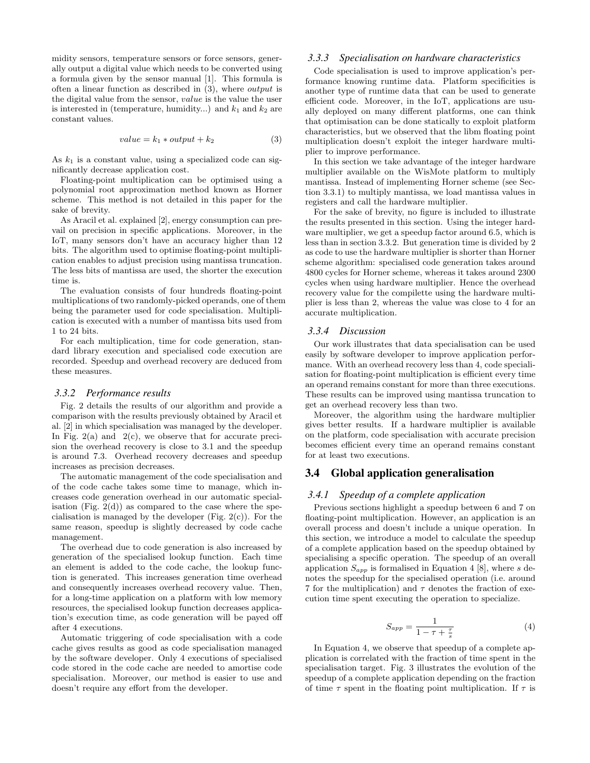midity sensors, temperature sensors or force sensors, generally output a digital value which needs to be converted using a formula given by the sensor manual [1]. This formula is often a linear function as described in (3), where output is the digital value from the sensor, value is the value the user is interested in (temperature, humidity...) and  $k_1$  and  $k_2$  are constant values.

$$
value = k_1 * output + k_2 \tag{3}
$$

As  $k_1$  is a constant value, using a specialized code can significantly decrease application cost.

Floating-point multiplication can be optimised using a polynomial root approximation method known as Horner scheme. This method is not detailed in this paper for the sake of brevity.

As Aracil et al. explained [2], energy consumption can prevail on precision in specific applications. Moreover, in the IoT, many sensors don't have an accuracy higher than 12 bits. The algorithm used to optimise floating-point multiplication enables to adjust precision using mantissa truncation. The less bits of mantissa are used, the shorter the execution time is.

The evaluation consists of four hundreds floating-point multiplications of two randomly-picked operands, one of them being the parameter used for code specialisation. Multiplication is executed with a number of mantissa bits used from 1 to 24 bits.

For each multiplication, time for code generation, standard library execution and specialised code execution are recorded. Speedup and overhead recovery are deduced from these measures.

#### *3.3.2 Performance results*

Fig. 2 details the results of our algorithm and provide a comparison with the results previously obtained by Aracil et al. [2] in which specialisation was managed by the developer. In Fig.  $2(a)$  and  $2(c)$ , we observe that for accurate precision the overhead recovery is close to 3.1 and the speedup is around 7.3. Overhead recovery decreases and speedup increases as precision decreases.

The automatic management of the code specialisation and of the code cache takes some time to manage, which increases code generation overhead in our automatic specialisation (Fig.  $2(d)$ ) as compared to the case where the specialisation is managed by the developer (Fig.  $2(c)$ ). For the same reason, speedup is slightly decreased by code cache management.

The overhead due to code generation is also increased by generation of the specialised lookup function. Each time an element is added to the code cache, the lookup function is generated. This increases generation time overhead and consequently increases overhead recovery value. Then, for a long-time application on a platform with low memory resources, the specialised lookup function decreases application's execution time, as code generation will be payed off after 4 executions.

Automatic triggering of code specialisation with a code cache gives results as good as code specialisation managed by the software developer. Only 4 executions of specialised code stored in the code cache are needed to amortise code specialisation. Moreover, our method is easier to use and doesn't require any effort from the developer.

#### *3.3.3 Specialisation on hardware characteristics*

Code specialisation is used to improve application's performance knowing runtime data. Platform specificities is another type of runtime data that can be used to generate efficient code. Moreover, in the IoT, applications are usually deployed on many different platforms, one can think that optimisation can be done statically to exploit platform characteristics, but we observed that the libm floating point multiplication doesn't exploit the integer hardware multiplier to improve performance.

In this section we take advantage of the integer hardware multiplier available on the WisMote platform to multiply mantissa. Instead of implementing Horner scheme (see Section 3.3.1) to multiply mantissa, we load mantissa values in registers and call the hardware multiplier.

For the sake of brevity, no figure is included to illustrate the results presented in this section. Using the integer hardware multiplier, we get a speedup factor around 6.5, which is less than in section 3.3.2. But generation time is divided by 2 as code to use the hardware multiplier is shorter than Horner scheme algorithm: specialised code generation takes around 4800 cycles for Horner scheme, whereas it takes around 2300 cycles when using hardware multiplier. Hence the overhead recovery value for the compilette using the hardware multiplier is less than 2, whereas the value was close to 4 for an accurate multiplication.

#### *3.3.4 Discussion*

Our work illustrates that data specialisation can be used easily by software developer to improve application performance. With an overhead recovery less than 4, code specialisation for floating-point multiplication is efficient every time an operand remains constant for more than three executions. These results can be improved using mantissa truncation to get an overhead recovery less than two.

Moreover, the algorithm using the hardware multiplier gives better results. If a hardware multiplier is available on the platform, code specialisation with accurate precision becomes efficient every time an operand remains constant for at least two executions.

#### 3.4 Global application generalisation

#### *3.4.1 Speedup of a complete application*

Previous sections highlight a speedup between 6 and 7 on floating-point multiplication. However, an application is an overall process and doesn't include a unique operation. In this section, we introduce a model to calculate the speedup of a complete application based on the speedup obtained by specialising a specific operation. The speedup of an overall application  $S_{app}$  is formalised in Equation 4 [8], where s denotes the speedup for the specialised operation (i.e. around 7 for the multiplication) and  $\tau$  denotes the fraction of execution time spent executing the operation to specialize.

$$
S_{app} = \frac{1}{1 - \tau + \frac{\tau}{s}}\tag{4}
$$

In Equation 4, we observe that speedup of a complete application is correlated with the fraction of time spent in the specialisation target. Fig. 3 illustrates the evolution of the speedup of a complete application depending on the fraction of time  $\tau$  spent in the floating point multiplication. If  $\tau$  is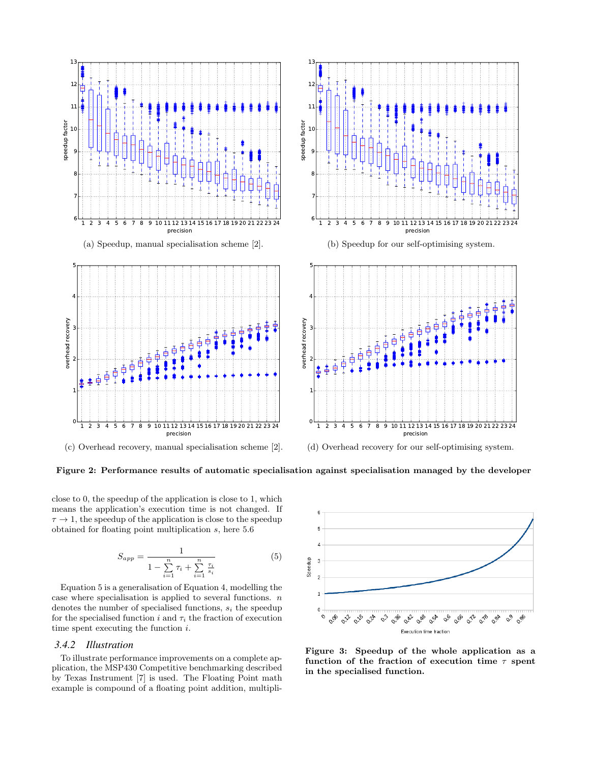

Figure 2: Performance results of automatic specialisation against specialisation managed by the developer

close to 0, the speedup of the application is close to 1, which means the application's execution time is not changed. If  $\tau\rightarrow 1,$  the speedup of the application is close to the speedup obtained for floating point multiplication s, here 5.6

$$
S_{app} = \frac{1}{1 - \sum_{i=1}^{n} \tau_i + \sum_{i=1}^{n} \frac{\tau_i}{s_i}}
$$
(5)

Equation 5 is a generalisation of Equation 4, modelling the case where specialisation is applied to several functions.  $n$ denotes the number of specialised functions,  $s_i$  the speedup for the specialised function i and  $\tau_i$  the fraction of execution time spent executing the function  $i$ .

#### *3.4.2 Illustration*

To illustrate performance improvements on a complete application, the MSP430 Competitive benchmarking described by Texas Instrument [7] is used. The Floating Point math example is compound of a floating point addition, multipli-



Figure 3: Speedup of the whole application as a function of the fraction of execution time  $\tau$  spent in the specialised function.